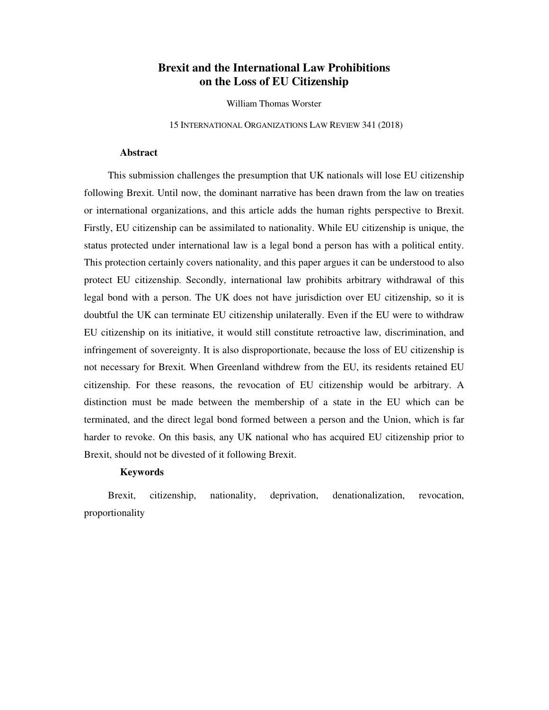# **Brexit and the International Law Prohibitions on the Loss of EU Citizenship**

William Thomas Worster

15 INTERNATIONAL ORGANIZATIONS LAW REVIEW 341 (2018)

## **Abstract**

This submission challenges the presumption that UK nationals will lose EU citizenship following Brexit. Until now, the dominant narrative has been drawn from the law on treaties or international organizations, and this article adds the human rights perspective to Brexit. Firstly, EU citizenship can be assimilated to nationality. While EU citizenship is unique, the status protected under international law is a legal bond a person has with a political entity. This protection certainly covers nationality, and this paper argues it can be understood to also protect EU citizenship. Secondly, international law prohibits arbitrary withdrawal of this legal bond with a person. The UK does not have jurisdiction over EU citizenship, so it is doubtful the UK can terminate EU citizenship unilaterally. Even if the EU were to withdraw EU citizenship on its initiative, it would still constitute retroactive law, discrimination, and infringement of sovereignty. It is also disproportionate, because the loss of EU citizenship is not necessary for Brexit. When Greenland withdrew from the EU, its residents retained EU citizenship. For these reasons, the revocation of EU citizenship would be arbitrary. A distinction must be made between the membership of a state in the EU which can be terminated, and the direct legal bond formed between a person and the Union, which is far harder to revoke. On this basis, any UK national who has acquired EU citizenship prior to Brexit, should not be divested of it following Brexit.

### **Keywords**

Brexit, citizenship, nationality, deprivation, denationalization, revocation, proportionality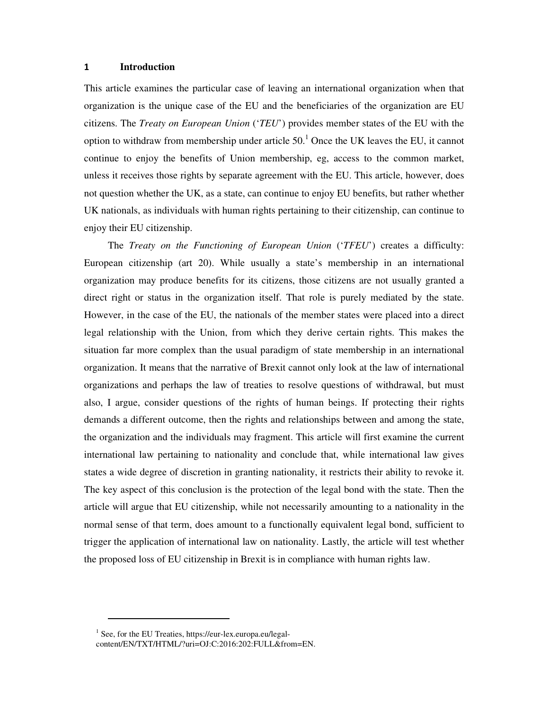#### **1 Introduction**

This article examines the particular case of leaving an international organization when that organization is the unique case of the EU and the beneficiaries of the organization are EU citizens. The *Treaty on European Union* ('*TEU*') provides member states of the EU with the option to withdraw from membership under article 50. 1 Once the UK leaves the EU, it cannot continue to enjoy the benefits of Union membership, eg, access to the common market, unless it receives those rights by separate agreement with the EU. This article, however, does not question whether the UK, as a state, can continue to enjoy EU benefits, but rather whether UK nationals, as individuals with human rights pertaining to their citizenship, can continue to enjoy their EU citizenship.

The *Treaty on the Functioning of European Union* ('*TFEU*') creates a difficulty: European citizenship (art 20). While usually a state's membership in an international organization may produce benefits for its citizens, those citizens are not usually granted a direct right or status in the organization itself. That role is purely mediated by the state. However, in the case of the EU, the nationals of the member states were placed into a direct legal relationship with the Union, from which they derive certain rights. This makes the situation far more complex than the usual paradigm of state membership in an international organization. It means that the narrative of Brexit cannot only look at the law of international organizations and perhaps the law of treaties to resolve questions of withdrawal, but must also, I argue, consider questions of the rights of human beings. If protecting their rights demands a different outcome, then the rights and relationships between and among the state, the organization and the individuals may fragment. This article will first examine the current international law pertaining to nationality and conclude that, while international law gives states a wide degree of discretion in granting nationality, it restricts their ability to revoke it. The key aspect of this conclusion is the protection of the legal bond with the state. Then the article will argue that EU citizenship, while not necessarily amounting to a nationality in the normal sense of that term, does amount to a functionally equivalent legal bond, sufficient to trigger the application of international law on nationality. Lastly, the article will test whether the proposed loss of EU citizenship in Brexit is in compliance with human rights law.

<sup>&</sup>lt;sup>1</sup> See, for the EU Treaties, https://eur-lex.europa.eu/legalcontent/EN/TXT/HTML/?uri=OJ:C:2016:202:FULL&from=EN.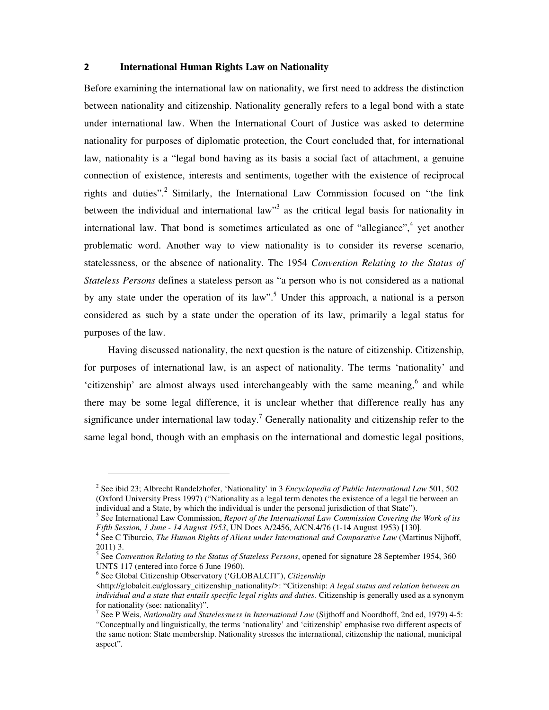### **2 International Human Rights Law on Nationality**

Before examining the international law on nationality, we first need to address the distinction between nationality and citizenship. Nationality generally refers to a legal bond with a state under international law. When the International Court of Justice was asked to determine nationality for purposes of diplomatic protection, the Court concluded that, for international law, nationality is a "legal bond having as its basis a social fact of attachment, a genuine connection of existence, interests and sentiments, together with the existence of reciprocal rights and duties".<sup>2</sup> Similarly, the International Law Commission focused on "the link" between the individual and international law<sup>3</sup> as the critical legal basis for nationality in international law. That bond is sometimes articulated as one of "allegiance",<sup>4</sup> yet another problematic word. Another way to view nationality is to consider its reverse scenario, statelessness, or the absence of nationality. The 1954 *Convention Relating to the Status of Stateless Persons* defines a stateless person as "a person who is not considered as a national by any state under the operation of its law".<sup>5</sup> Under this approach, a national is a person considered as such by a state under the operation of its law, primarily a legal status for purposes of the law.

Having discussed nationality, the next question is the nature of citizenship. Citizenship, for purposes of international law, is an aspect of nationality. The terms 'nationality' and 'citizenship' are almost always used interchangeably with the same meaning,<sup>6</sup> and while there may be some legal difference, it is unclear whether that difference really has any significance under international law today.<sup>7</sup> Generally nationality and citizenship refer to the same legal bond, though with an emphasis on the international and domestic legal positions,

<sup>2</sup> See ibid 23; Albrecht Randelzhofer, 'Nationality' in 3 *Encyclopedia of Public International Law* 501, 502 (Oxford University Press 1997) ("Nationality as a legal term denotes the existence of a legal tie between an individual and a State, by which the individual is under the personal jurisdiction of that State").

<sup>&</sup>lt;sup>3</sup> See International Law Commission, *Report of the International Law Commission Covering the Work of its Fifth Session, 1 June - 14 August 1953*, UN Docs A/2456, A/CN.4/76 (1-14 August 1953) [130].

<sup>&</sup>lt;sup>4</sup> See C Tiburcio, *The Human Rights of Aliens under International and Comparative Law* (Martinus Nijhoff, 2011) 3.

<sup>5</sup> See *Convention Relating to the Status of Stateless Persons*, opened for signature 28 September 1954, 360 UNTS 117 (entered into force 6 June 1960).

<sup>6</sup> See Global Citizenship Observatory ('GLOBALCIT'), *Citizenship*

<sup>&</sup>lt;http://globalcit.eu/glossary\_citizenship\_nationality/>: "Citizenship: *A legal status and relation between an individual and a state that entails specific legal rights and duties.* Citizenship is generally used as a synonym for nationality (see: nationality)".

<sup>7</sup> See P Weis, *Nationality and Statelessness in International Law* (Sijthoff and Noordhoff, 2nd ed, 1979) 4-5: "Conceptually and linguistically, the terms 'nationality' and 'citizenship' emphasise two different aspects of the same notion: State membership. Nationality stresses the international, citizenship the national, municipal aspect".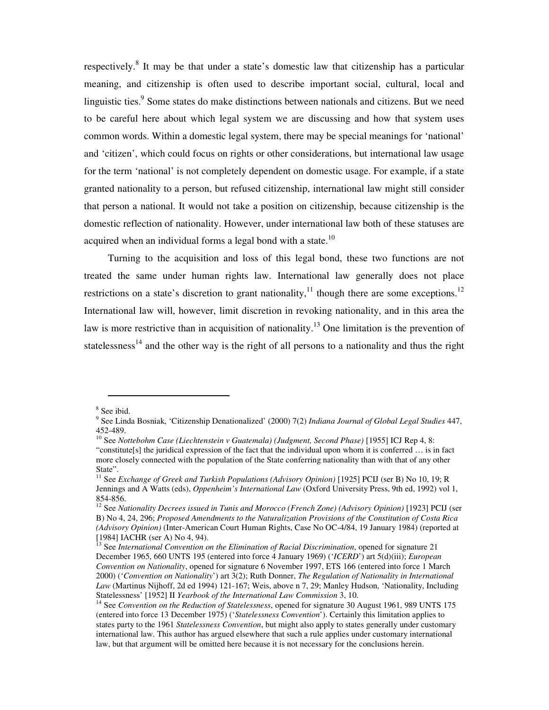respectively.<sup>8</sup> It may be that under a state's domestic law that citizenship has a particular meaning, and citizenship is often used to describe important social, cultural, local and linguistic ties.<sup>9</sup> Some states do make distinctions between nationals and citizens. But we need to be careful here about which legal system we are discussing and how that system uses common words. Within a domestic legal system, there may be special meanings for 'national' and 'citizen', which could focus on rights or other considerations, but international law usage for the term 'national' is not completely dependent on domestic usage. For example, if a state granted nationality to a person, but refused citizenship, international law might still consider that person a national. It would not take a position on citizenship, because citizenship is the domestic reflection of nationality. However, under international law both of these statuses are acquired when an individual forms a legal bond with a state.<sup>10</sup>

Turning to the acquisition and loss of this legal bond, these two functions are not treated the same under human rights law. International law generally does not place restrictions on a state's discretion to grant nationality, $^{11}$  though there are some exceptions.<sup>12</sup> International law will, however, limit discretion in revoking nationality, and in this area the law is more restrictive than in acquisition of nationality.<sup>13</sup> One limitation is the prevention of statelessness<sup>14</sup> and the other way is the right of all persons to a nationality and thus the right

<sup>8</sup> See ibid.

<sup>9</sup> See Linda Bosniak, 'Citizenship Denationalized' (2000) 7(2) *Indiana Journal of Global Legal Studies* 447, 452-489.

<sup>10</sup> See *Nottebohm Case (Liechtenstein v Guatemala) (Judgment, Second Phase)* [1955] ICJ Rep 4, 8: "constitute[s] the juridical expression of the fact that the individual upon whom it is conferred … is in fact more closely connected with the population of the State conferring nationality than with that of any other State".

<sup>11</sup> See *Exchange of Greek and Turkish Populations (Advisory Opinion)* [1925] PCIJ (ser B) No 10, 19; R Jennings and A Watts (eds), *Oppenheim's International Law* (Oxford University Press, 9th ed, 1992) vol 1, 854-856.

<sup>12</sup> See *Nationality Decrees issued in Tunis and Morocco (French Zone) (Advisory Opinion)* [1923] PCIJ (ser B) No 4, 24, 296; *Proposed Amendments to the Naturalization Provisions of the Constitution of Costa Rica (Advisory Opinion)* (Inter-American Court Human Rights, Case No OC-4/84, 19 January 1984) (reported at [1984] IACHR (ser A) No 4, 94).

<sup>&</sup>lt;sup>13</sup> See *International Convention on the Elimination of Racial Discrimination*, opened for signature 21 December 1965, 660 UNTS 195 (entered into force 4 January 1969) ('*ICERD*') art 5(d)(iii); *European Convention on Nationality*, opened for signature 6 November 1997, ETS 166 (entered into force 1 March 2000) ('*Convention on Nationality*') art 3(2); Ruth Donner, *The Regulation of Nationality in International Law* (Martinus Nijhoff, 2d ed 1994) 121-167; Weis, above n 7, 29; Manley Hudson, 'Nationality, Including Statelessness' [1952] II *Yearbook of the International Law Commission* 3, 10.

<sup>14</sup> See *Convention on the Reduction of Statelessness*, opened for signature 30 August 1961, 989 UNTS 175 (entered into force 13 December 1975) ('*Statelessness Convention*'). Certainly this limitation applies to states party to the 1961 *Statelessness Convention*, but might also apply to states generally under customary international law. This author has argued elsewhere that such a rule applies under customary international law, but that argument will be omitted here because it is not necessary for the conclusions herein.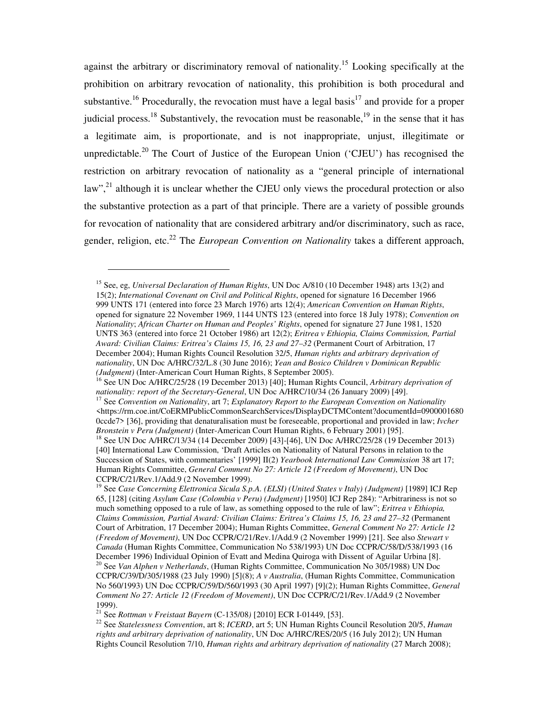against the arbitrary or discriminatory removal of nationality.<sup>15</sup> Looking specifically at the prohibition on arbitrary revocation of nationality, this prohibition is both procedural and substantive.<sup>16</sup> Procedurally, the revocation must have a legal basis<sup>17</sup> and provide for a proper judicial process.<sup>18</sup> Substantively, the revocation must be reasonable,<sup>19</sup> in the sense that it has a legitimate aim, is proportionate, and is not inappropriate, unjust, illegitimate or unpredictable.<sup>20</sup> The Court of Justice of the European Union ('CJEU') has recognised the restriction on arbitrary revocation of nationality as a "general principle of international law",<sup>21</sup> although it is unclear whether the CJEU only views the procedural protection or also the substantive protection as a part of that principle. There are a variety of possible grounds for revocation of nationality that are considered arbitrary and/or discriminatory, such as race, gender, religion, etc.<sup>22</sup> The *European Convention on Nationality* takes a different approach,

l,

<sup>15</sup> See, eg, *Universal Declaration of Human Rights*, UN Doc A/810 (10 December 1948) arts 13(2) and 15(2); *International Covenant on Civil and Political Rights*, opened for signature 16 December 1966 999 UNTS 171 (entered into force 23 March 1976) arts 12(4); *American Convention on Human Rights*, opened for signature 22 November 1969, 1144 UNTS 123 (entered into force 18 July 1978); *Convention on Nationality*; *African Charter on Human and Peoples' Rights*, opened for signature 27 June 1981, 1520 UNTS 363 (entered into force 21 October 1986) art 12(2); *Eritrea v Ethiopia, Claims Commission, Partial Award: Civilian Claims: Eritrea's Claims 15, 16, 23 and 27–32* (Permanent Court of Arbitration, 17 December 2004); Human Rights Council Resolution 32/5, *Human rights and arbitrary deprivation of nationality*, UN Doc A/HRC/32/L.8 (30 June 2016); *Yean and Bosico Children v Dominican Republic (Judgment)* (Inter-American Court Human Rights, 8 September 2005).

<sup>16</sup> See UN Doc A/HRC/25/28 (19 December 2013) [40]; Human Rights Council, *Arbitrary deprivation of nationality: report of the Secretary-General*, UN Doc A/HRC/10/34 (26 January 2009) [49].

<sup>17</sup> See *Convention on Nationality*, art 7; *Explanatory Report to the European Convention on Nationality* <https://rm.coe.int/CoERMPublicCommonSearchServices/DisplayDCTMContent?documentId=0900001680 0ccde7> [36], providing that denaturalisation must be foreseeable, proportional and provided in law; *Ivcher Bronstein v Peru (Judgment)* (Inter-American Court Human Rights, 6 February 2001) [95].

<sup>18</sup> See UN Doc A/HRC/13/34 (14 December 2009) [43]-[46], UN Doc A/HRC/25/28 (19 December 2013) [40] International Law Commission, 'Draft Articles on Nationality of Natural Persons in relation to the Succession of States, with commentaries' [1999] II(2) *Yearbook International Law Commission* 38 art 17; Human Rights Committee, *General Comment No 27: Article 12 (Freedom of Movement)*, UN Doc CCPR/C/21/Rev.1/Add.9 (2 November 1999).

<sup>19</sup> See *Case Concerning Elettronica Sicula S.p.A. (ELSI) (United States v Italy) (Judgment)* [1989] ICJ Rep 65, [128] (citing *Asylum Case (Colombia v Peru) (Judgment)* [1950] ICJ Rep 284): "Arbitrariness is not so much something opposed to a rule of law, as something opposed to the rule of law"; *Eritrea v Ethiopia, Claims Commission, Partial Award: Civilian Claims: Eritrea's Claims 15, 16, 23 and 27–32* (Permanent Court of Arbitration, 17 December 2004); Human Rights Committee, *General Comment No 27: Article 12 (Freedom of Movement)*, UN Doc CCPR/C/21/Rev.1/Add.9 (2 November 1999) [21]. See also *Stewart v Canada* (Human Rights Committee, Communication No 538/1993) UN Doc CCPR/C/58/D/538/1993 (16 December 1996) Individual Opinion of Evatt and Medina Quiroga with Dissent of Aguilar Urbina [8]. <sup>20</sup> See *Van Alphen v Netherlands*, (Human Rights Committee, Communication No 305/1988) UN Doc CCPR/C/39/D/305/1988 (23 July 1990) [5](8); *A v Australia*, (Human Rights Committee, Communication No 560/1993) UN Doc CCPR/C/59/D/560/1993 (30 April 1997) [9](2); Human Rights Committee, *General Comment No 27: Article 12 (Freedom of Movement)*, UN Doc CCPR/C/21/Rev.1/Add.9 (2 November 1999).

<sup>21</sup> See *Rottman v Freistaat Bayern* (C-135/08*)* [2010] ECR I-01449, [53].

<sup>22</sup> See *Statelessness Convention*, art 8; *ICERD*, art 5; UN Human Rights Council Resolution 20/5, *Human rights and arbitrary deprivation of nationality*, UN Doc A/HRC/RES/20/5 (16 July 2012); UN Human Rights Council Resolution 7/10, *Human rights and arbitrary deprivation of nationality* (27 March 2008);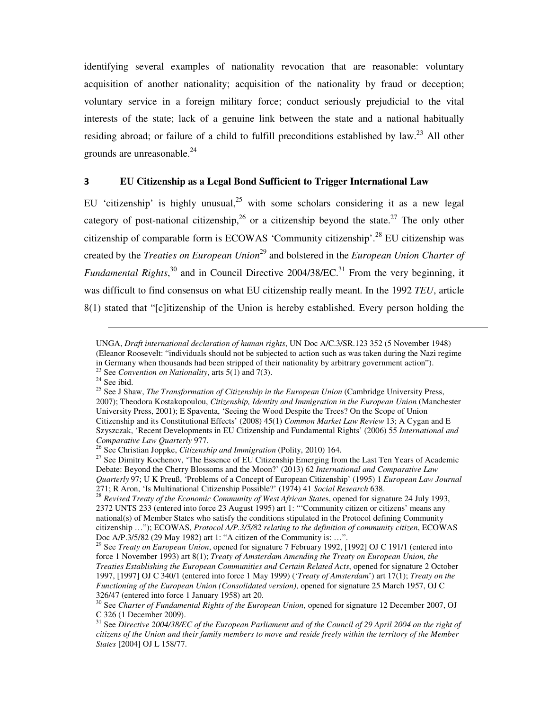identifying several examples of nationality revocation that are reasonable: voluntary acquisition of another nationality; acquisition of the nationality by fraud or deception; voluntary service in a foreign military force; conduct seriously prejudicial to the vital interests of the state; lack of a genuine link between the state and a national habitually residing abroad; or failure of a child to fulfill preconditions established by law.<sup>23</sup> All other grounds are unreasonable. $^{24}$ 

## **3 EU Citizenship as a Legal Bond Sufficient to Trigger International Law**

EU 'citizenship' is highly unusual,<sup>25</sup> with some scholars considering it as a new legal category of post-national citizenship,<sup>26</sup> or a citizenship beyond the state.<sup>27</sup> The only other citizenship of comparable form is ECOWAS 'Community citizenship'.<sup>28</sup> EU citizenship was created by the *Treaties on European Union*<sup>29</sup> and bolstered in the *European Union Charter of Fundamental Rights*,<sup>30</sup> and in Council Directive 2004/38/EC.<sup>31</sup> From the very beginning, it was difficult to find consensus on what EU citizenship really meant. In the 1992 *TEU*, article 8(1) stated that "[c]itizenship of the Union is hereby established. Every person holding the

l

UNGA, *Draft international declaration of human rights*, UN Doc A/C.3/SR.123 352 (5 November 1948) (Eleanor Roosevelt: "individuals should not be subjected to action such as was taken during the Nazi regime in Germany when thousands had been stripped of their nationality by arbitrary government action"). <sup>23</sup> See *Convention on Nationality*, arts 5(1) and 7(3).

 $24$  See ibid.

<sup>&</sup>lt;sup>25</sup> See J Shaw, *The Transformation of Citizenship in the European Union* (Cambridge University Press, 2007); Theodora Kostakopoulou, *Citizenship, Identity and Immigration in the European Union* (Manchester University Press, 2001); E Spaventa, 'Seeing the Wood Despite the Trees? On the Scope of Union Citizenship and its Constitutional Effects' (2008) 45(1) *Common Market Law Review* 13; A Cygan and E Szyszczak, 'Recent Developments in EU Citizenship and Fundamental Rights' (2006) 55 *International and Comparative Law Quarterly* 977.

<sup>26</sup> See Christian Joppke, *Citizenship and Immigration* (Polity, 2010) 164.

<sup>&</sup>lt;sup>27</sup> See Dimitry Kochenov, 'The Essence of EU Citizenship Emerging from the Last Ten Years of Academic Debate: Beyond the Cherry Blossoms and the Moon?' (2013) 62 *International and Comparative Law Quarterly* 97; U K Preuß, 'Problems of a Concept of European Citizenship' (1995) 1 *European Law Journal*  271; R Aron, 'Is Multinational Citizenship Possible?' (1974) 41 *Social Research* 638.

<sup>28</sup> *Revised Treaty of the Economic Community of West African State*s, opened for signature 24 July 1993, 2372 UNTS 233 (entered into force 23 August 1995) art 1: "'Community citizen or citizens' means any national(s) of Member States who satisfy the conditions stipulated in the Protocol defining Community citizenship …"); ECOWAS, *Protocol A/P.3/5/82 relating to the definition of community citizen*, ECOWAS Doc A/P.3/5/82 (29 May 1982) art 1: "A citizen of the Community is: …".

<sup>&</sup>lt;sup>29</sup> See *Treaty on European Union*, opened for signature 7 February 1992, [1992] OJ C 191/1 (entered into force 1 November 1993) art 8(1); *Treaty of Amsterdam Amending the Treaty on European Union, the Treaties Establishing the European Communities and Certain Related Acts*, opened for signature 2 October 1997, [1997] OJ C 340/1 (entered into force 1 May 1999) ('*Treaty of Amsterdam*') art 17(1); *Treaty on the Functioning of the European Union (Consolidated version)*, opened for signature 25 March 1957, OJ C 326/47 (entered into force 1 January 1958) art 20.

<sup>&</sup>lt;sup>30</sup> See *Charter of Fundamental Rights of the European Union*, opened for signature 12 December 2007, OJ C 326 (1 December 2009).

<sup>&</sup>lt;sup>31</sup> See *Directive 2004/38/EC of the European Parliament and of the Council of 29 April 2004 on the right of citizens of the Union and their family members to move and reside freely within the territory of the Member States* [2004] OJ L 158/77.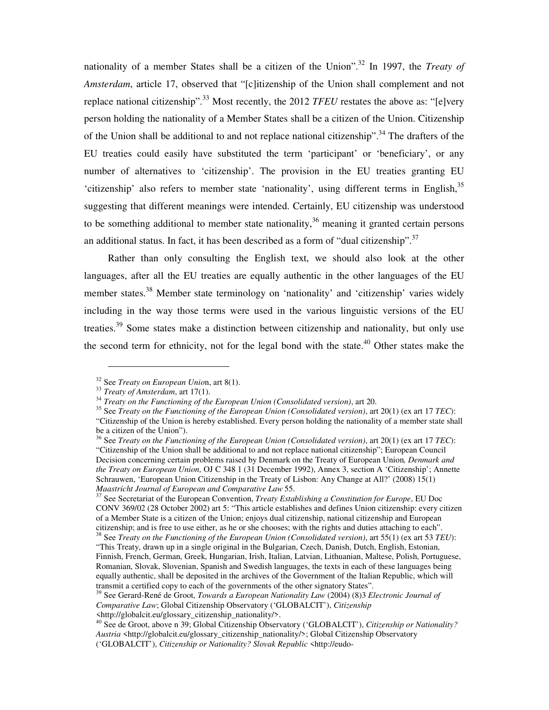nationality of a member States shall be a citizen of the Union".<sup>32</sup> In 1997, the *Treaty of Amsterdam*, article 17, observed that "[c]itizenship of the Union shall complement and not replace national citizenship".<sup>33</sup> Most recently, the 2012 *TFEU* restates the above as: "[e]very person holding the nationality of a Member States shall be a citizen of the Union. Citizenship of the Union shall be additional to and not replace national citizenship".<sup>34</sup> The drafters of the EU treaties could easily have substituted the term 'participant' or 'beneficiary', or any number of alternatives to 'citizenship'. The provision in the EU treaties granting EU 'citizenship' also refers to member state 'nationality', using different terms in English,  $35$ suggesting that different meanings were intended. Certainly, EU citizenship was understood to be something additional to member state nationality,  $36$  meaning it granted certain persons an additional status. In fact, it has been described as a form of "dual citizenship".<sup>37</sup>

Rather than only consulting the English text, we should also look at the other languages, after all the EU treaties are equally authentic in the other languages of the EU member states.<sup>38</sup> Member state terminology on 'nationality' and 'citizenship' varies widely including in the way those terms were used in the various linguistic versions of the EU treaties.<sup>39</sup> Some states make a distinction between citizenship and nationality, but only use the second term for ethnicity, not for the legal bond with the state.<sup>40</sup> Other states make the

l

<sup>32</sup> See *Treaty on European Unio*n, art 8(1).

<sup>33</sup> *Treaty of Amsterdam*, art 17(1).

<sup>34</sup> *Treaty on the Functioning of the European Union (Consolidated version)*, art 20.

<sup>35</sup> See *Treaty on the Functioning of the European Union (Consolidated version)*, art 20(1) (ex art 17 *TEC*): "Citizenship of the Union is hereby established. Every person holding the nationality of a member state shall be a citizen of the Union").

<sup>36</sup> See *Treaty on the Functioning of the European Union (Consolidated version)*, art 20(1) (ex art 17 *TEC*): "Citizenship of the Union shall be additional to and not replace national citizenship"; European Council Decision concerning certain problems raised by Denmark on the Treaty of European Union*, Denmark and the Treaty on European Union,* OJ C 348 1 (31 December 1992), Annex 3, section A 'Citizenship'; Annette Schrauwen, 'European Union Citizenship in the Treaty of Lisbon: Any Change at All?' (2008) 15(1) *Maastricht Journal of European and Comparative Law* 55.

<sup>37</sup> See Secretariat of the European Convention, *Treaty Establishing a Constitution for Europe*, EU Doc CONV 369/02 (28 October 2002) art 5: "This article establishes and defines Union citizenship: every citizen of a Member State is a citizen of the Union; enjoys dual citizenship, national citizenship and European citizenship; and is free to use either, as he or she chooses; with the rights and duties attaching to each". <sup>38</sup> See *Treaty on the Functioning of the European Union (Consolidated version)*, art 55(1) (ex art 53 *TEU*):

<sup>&</sup>quot;This Treaty, drawn up in a single original in the Bulgarian, Czech, Danish, Dutch, English, Estonian, Finnish, French, German, Greek, Hungarian, Irish, Italian, Latvian, Lithuanian, Maltese, Polish, Portuguese, Romanian, Slovak, Slovenian, Spanish and Swedish languages, the texts in each of these languages being equally authentic, shall be deposited in the archives of the Government of the Italian Republic, which will transmit a certified copy to each of the governments of the other signatory States".

<sup>39</sup> See Gerard-René de Groot, *Towards a European Nationality Law* (2004) (8)3 *Electronic Journal of Comparative Law*; Global Citizenship Observatory ('GLOBALCIT'), *Citizenship* <http://globalcit.eu/glossary\_citizenship\_nationality/>.

<sup>40</sup> See de Groot, above n 39; Global Citizenship Observatory ('GLOBALCIT'), *Citizenship or Nationality? Austria* <http://globalcit.eu/glossary\_citizenship\_nationality/>; Global Citizenship Observatory ('GLOBALCIT'), *Citizenship or Nationality? Slovak Republic* <http://eudo-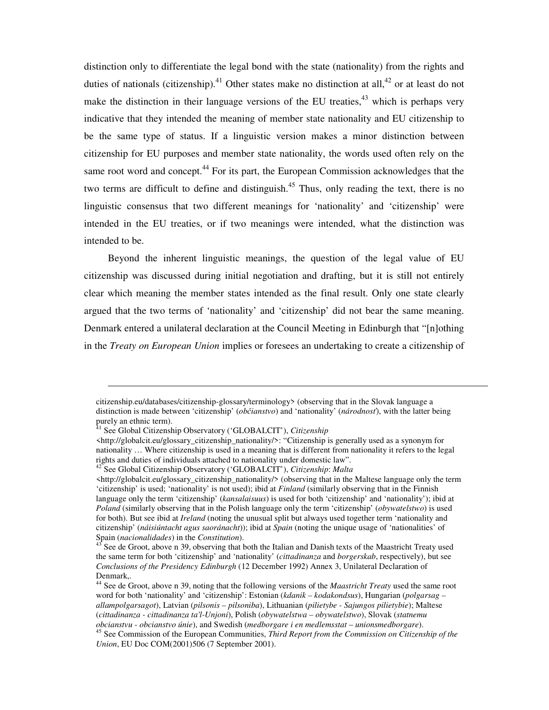distinction only to differentiate the legal bond with the state (nationality) from the rights and duties of nationals (citizenship).<sup>41</sup> Other states make no distinction at all,<sup>42</sup> or at least do not make the distinction in their language versions of the EU treaties,  $43$  which is perhaps very indicative that they intended the meaning of member state nationality and EU citizenship to be the same type of status. If a linguistic version makes a minor distinction between citizenship for EU purposes and member state nationality, the words used often rely on the same root word and concept.<sup>44</sup> For its part, the European Commission acknowledges that the two terms are difficult to define and distinguish.<sup>45</sup> Thus, only reading the text, there is no linguistic consensus that two different meanings for 'nationality' and 'citizenship' were intended in the EU treaties, or if two meanings were intended, what the distinction was intended to be.

Beyond the inherent linguistic meanings, the question of the legal value of EU citizenship was discussed during initial negotiation and drafting, but it is still not entirely clear which meaning the member states intended as the final result. Only one state clearly argued that the two terms of 'nationality' and 'citizenship' did not bear the same meaning. Denmark entered a unilateral declaration at the Council Meeting in Edinburgh that "[n]othing in the *Treaty on European Union* implies or foresees an undertaking to create a citizenship of

citizenship.eu/databases/citizenship-glossary/terminology> (observing that in the Slovak language a distinction is made between 'citizenship' (*občianstvo*) and 'nationality' (*národnosť*), with the latter being purely an ethnic term).

<sup>41</sup> See Global Citizenship Observatory ('GLOBALCIT'), *Citizenship*

<sup>&</sup>lt;http://globalcit.eu/glossary\_citizenship\_nationality/>: "Citizenship is generally used as a synonym for nationality … Where citizenship is used in a meaning that is different from nationality it refers to the legal rights and duties of individuals attached to nationality under domestic law".

<sup>42</sup> See Global Citizenship Observatory ('GLOBALCIT'), *Citizenship*: *Malta*

<sup>&</sup>lt;http://globalcit.eu/glossary\_citizenship\_nationality/> (observing that in the Maltese language only the term 'citizenship' is used; 'nationality' is not used); ibid at *Finland* (similarly observing that in the Finnish language only the term 'citizenship' (*kansalaisuus*) is used for both 'citizenship' and 'nationality'); ibid at *Poland* (similarly observing that in the Polish language only the term 'citizenship' (*obywatelstwo*) is used for both). But see ibid at *Ireland* (noting the unusual split but always used together term 'nationality and citizenship' (*náisiúntacht agus saoránacht*)); ibid at *Spain* (noting the unique usage of 'nationalities' of Spain (*nacionalidades*) in the *Constitution*).

See de Groot, above n 39, observing that both the Italian and Danish texts of the Maastricht Treaty used the same term for both 'citizenship' and 'nationality' (*cittadinanza* and *borgerskab*, respectively), but see *Conclusions of the Presidency Edinburgh* (12 December 1992) Annex 3, Unilateral Declaration of Denmark,.

<sup>44</sup> See de Groot, above n 39, noting that the following versions of the *Maastricht Treaty* used the same root word for both 'nationality' and 'citizenship': Estonian (*kdanik – kodakondsus*), Hungarian (*polgarsag – allampolgarsagot*), Latvian (*pilsonis – pilsoniba*), Lithuanian (*pilietybe - Sajungos pilietybie*); Maltese (*cittadinanza - cittadinanza ta'l-Unjoni*), Polish (*obywatelstwa – obywatelstwo*), Slovak (*statnemu obcianstvu - obcianstvo únie*), and Swedish (*medborgare i en medlemsstat* – *unionsmedborgare*).

<sup>45</sup> See Commission of the European Communities, *Third Report from the Commission on Citizenship of the Union*, EU Doc COM(2001)506 (7 September 2001).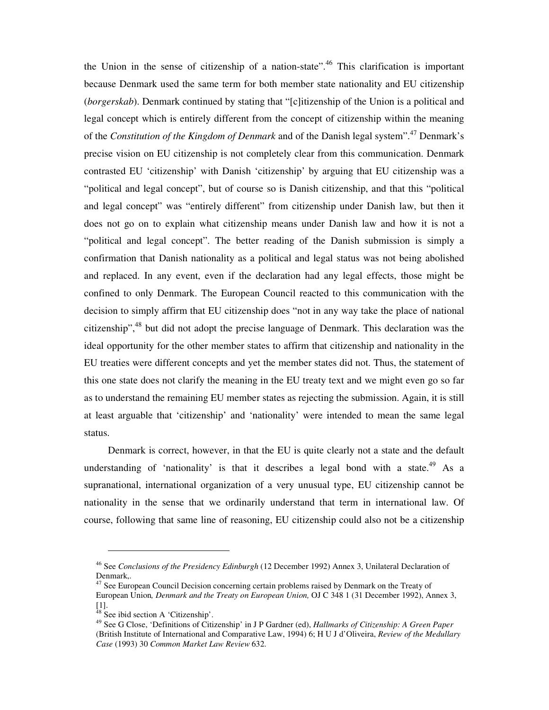the Union in the sense of citizenship of a nation-state".<sup>46</sup> This clarification is important because Denmark used the same term for both member state nationality and EU citizenship (*borgerskab*). Denmark continued by stating that "[c]itizenship of the Union is a political and legal concept which is entirely different from the concept of citizenship within the meaning of the *Constitution of the Kingdom of Denmark* and of the Danish legal system".<sup>47</sup> Denmark's precise vision on EU citizenship is not completely clear from this communication. Denmark contrasted EU 'citizenship' with Danish 'citizenship' by arguing that EU citizenship was a "political and legal concept", but of course so is Danish citizenship, and that this "political and legal concept" was "entirely different" from citizenship under Danish law, but then it does not go on to explain what citizenship means under Danish law and how it is not a "political and legal concept". The better reading of the Danish submission is simply a confirmation that Danish nationality as a political and legal status was not being abolished and replaced. In any event, even if the declaration had any legal effects, those might be confined to only Denmark. The European Council reacted to this communication with the decision to simply affirm that EU citizenship does "not in any way take the place of national citizenship", $48$  but did not adopt the precise language of Denmark. This declaration was the ideal opportunity for the other member states to affirm that citizenship and nationality in the EU treaties were different concepts and yet the member states did not. Thus, the statement of this one state does not clarify the meaning in the EU treaty text and we might even go so far as to understand the remaining EU member states as rejecting the submission. Again, it is still at least arguable that 'citizenship' and 'nationality' were intended to mean the same legal status.

Denmark is correct, however, in that the EU is quite clearly not a state and the default understanding of 'nationality' is that it describes a legal bond with a state.<sup>49</sup> As a supranational, international organization of a very unusual type, EU citizenship cannot be nationality in the sense that we ordinarily understand that term in international law. Of course, following that same line of reasoning, EU citizenship could also not be a citizenship

<sup>46</sup> See *Conclusions of the Presidency Edinburgh* (12 December 1992) Annex 3, Unilateral Declaration of Denmark,.

 $47$  See European Council Decision concerning certain problems raised by Denmark on the Treaty of European Union*, Denmark and the Treaty on European Union,* OJ C 348 1 (31 December 1992), Annex 3, [1].

<sup>&</sup>lt;sup>48</sup> See ibid section A 'Citizenship'.

<sup>49</sup> See G Close, 'Definitions of Citizenship' in J P Gardner (ed), *Hallmarks of Citizenship: A Green Paper* (British Institute of International and Comparative Law, 1994) 6; H U J d'Oliveira, *Review of the Medullary Case* (1993) 30 *Common Market Law Review* 632.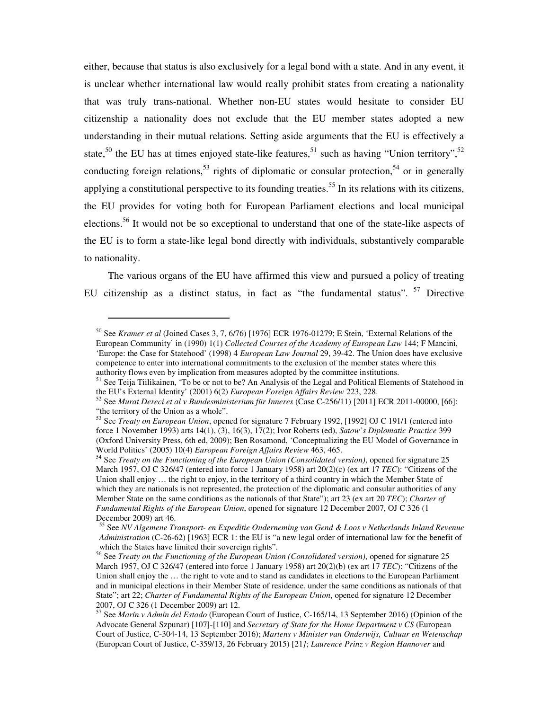either, because that status is also exclusively for a legal bond with a state. And in any event, it is unclear whether international law would really prohibit states from creating a nationality that was truly trans-national. Whether non-EU states would hesitate to consider EU citizenship a nationality does not exclude that the EU member states adopted a new understanding in their mutual relations. Setting aside arguments that the EU is effectively a state,<sup>50</sup> the EU has at times enjoyed state-like features,<sup>51</sup> such as having "Union territory",<sup>52</sup> conducting foreign relations,<sup>53</sup> rights of diplomatic or consular protection,<sup>54</sup> or in generally applying a constitutional perspective to its founding treaties.<sup>55</sup> In its relations with its citizens, the EU provides for voting both for European Parliament elections and local municipal elections.<sup>56</sup> It would not be so exceptional to understand that one of the state-like aspects of the EU is to form a state-like legal bond directly with individuals, substantively comparable to nationality.

The various organs of the EU have affirmed this view and pursued a policy of treating EU citizenship as a distinct status, in fact as "the fundamental status".  $57$  Directive

 $\overline{a}$ 

<sup>50</sup> See *Kramer et al* (Joined Cases 3, 7, 6/76) [1976] ECR 1976-01279; E Stein, 'External Relations of the European Community' in (1990) 1(1) *Collected Courses of the Academy of European Law* 144; F Mancini, 'Europe: the Case for Statehood' (1998) 4 *European Law Journal* 29, 39-42. The Union does have exclusive competence to enter into international commitments to the exclusion of the member states where this authority flows even by implication from measures adopted by the committee institutions.

<sup>&</sup>lt;sup>51</sup> See Teija Tiilikainen, 'To be or not to be? An Analysis of the Legal and Political Elements of Statehood in the EU's External Identity' (2001) 6(2) *European Foreign Affairs Review* 223, 228.

<sup>52</sup> See *Murat Dereci et al v Bundesministerium für Inneres* (Case C-256/11) [2011] ECR 2011-00000, [66]: "the territory of the Union as a whole".

<sup>53</sup> See *Treaty on European Union*, opened for signature 7 February 1992, [1992] OJ C 191/1 (entered into force 1 November 1993) arts 14(1), (3), 16(3), 17(2); Ivor Roberts (ed), *Satow's Diplomatic Practice* 399 (Oxford University Press, 6th ed, 2009); Ben Rosamond, 'Conceptualizing the EU Model of Governance in World Politics' (2005) 10(4) *European Foreign Affairs Review* 463, 465.

<sup>54</sup> See *Treaty on the Functioning of the European Union (Consolidated version)*, opened for signature 25 March 1957, OJ C 326/47 (entered into force 1 January 1958) art 20(2)(c) (ex art 17 *TEC*): "Citizens of the Union shall enjoy … the right to enjoy, in the territory of a third country in which the Member State of which they are nationals is not represented, the protection of the diplomatic and consular authorities of any Member State on the same conditions as the nationals of that State"); art 23 (ex art 20 *TEC*); *Charter of Fundamental Rights of the European Union*, opened for signature 12 December 2007, OJ C 326 (1 December 2009) art 46.

<sup>55</sup> See *NV Algemene Transport- en Expeditie Onderneming van Gend & Loos v Netherlands Inland Revenue Administration* (C-26-62) [1963] ECR 1: the EU is "a new legal order of international law for the benefit of which the States have limited their sovereign rights".

<sup>56</sup> See *Treaty on the Functioning of the European Union (Consolidated version)*, opened for signature 25 March 1957, OJ C 326/47 (entered into force 1 January 1958) art 20(2)(b) (ex art 17 *TEC*): "Citizens of the Union shall enjoy the ... the right to vote and to stand as candidates in elections to the European Parliament and in municipal elections in their Member State of residence, under the same conditions as nationals of that State"; art 22; *Charter of Fundamental Rights of the European Union*, opened for signature 12 December 2007, OJ C 326 (1 December 2009) art 12.

<sup>57</sup> See *Marín v Admin del Estado* (European Court of Justice, C-165/14, 13 September 2016) (Opinion of the Advocate General Szpunar) [107]-[110] and *Secretary of State for the Home Department v CS* (European Court of Justice, C-304-14, 13 September 2016); *Martens v Minister van Onderwijs, Cultuur en Wetenschap* (European Court of Justice, C-359/13, 26 February 2015) [21*]*; *Laurence Prinz v Region Hannover* and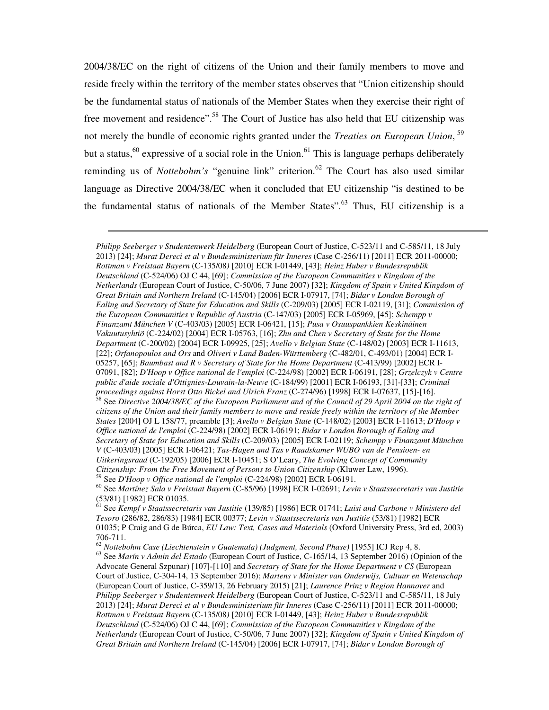2004/38/EC on the right of citizens of the Union and their family members to move and reside freely within the territory of the member states observes that "Union citizenship should be the fundamental status of nationals of the Member States when they exercise their right of free movement and residence".<sup>58</sup> The Court of Justice has also held that EU citizenship was not merely the bundle of economic rights granted under the *Treaties on European Union*, 59 but a status,<sup>60</sup> expressive of a social role in the Union.<sup>61</sup> This is language perhaps deliberately reminding us of *Nottebohm's* "genuine link" criterion.<sup>62</sup> The Court has also used similar language as Directive 2004/38/EC when it concluded that EU citizenship "is destined to be the fundamental status of nationals of the Member States".<sup>63</sup> Thus, EU citizenship is a

*Philipp Seeberger v Studentenwerk Heidelberg* (European Court of Justice, C-523/11 and C-585/11, 18 July 2013) [24]; *Murat Dereci et al v Bundesministerium für Inneres* (Case C-256/11) [2011] ECR 2011-00000; *Rottman v Freistaat Bayern* (C-135/08*)* [2010] ECR I-01449, [43]; *Heinz Huber v Bundesrepublik Deutschland* (C-524/06) OJ C 44, [69]; *Commission of the European Communities v Kingdom of the Netherlands* (European Court of Justice, C-50/06, 7 June 2007) [32]; *Kingdom of Spain v United Kingdom of Great Britain and Northern Ireland* (C-145/04) [2006] ECR I-07917, [74]; *Bidar v London Borough of Ealing and Secretary of State for Education and Skills* (C-209/03) [2005] ECR I-02119, [31]; *Commission of the European Communities v Republic of Austria* (C-147/03) [2005] ECR I-05969, [45]; *Schempp v Finanzamt München V* (C-403/03) [2005] ECR I-06421, [15]; *Pusa v Osuuspankkien Keskinäinen Vakuutusyhtiö* (C-224/02) [2004] ECR I-05763, [16]; *Zhu and Chen v Secretary of State for the Home Department* (C-200/02) [2004] ECR I-09925, [25]; *Avello v Belgian State* (C-148/02) [2003] ECR I-11613, [22]; *Orfanopoulos and Ors* and *Oliveri v Land Baden-Württemberg* (C-482/01, C-493/01) [2004] ECR I-05257, [65]; *Baumbast and R v Secretary of State for the Home Department* (C-413/99) [2002] ECR I-07091, [82]; *D'Hoop v Office national de l'emploi* (C-224/98) [2002] ECR I-06191, [28]; *Grzelczyk v Centre public d'aide sociale d'Ottignies-Louvain-la-Neuve* (C-184/99) [2001] ECR I-06193, [31]-[33]; *Criminal proceedings against Horst Otto Bickel and Ulrich Franz* (C-274/96) [1998] ECR I-07637, [15]-[16]. <sup>58</sup> See *Directive 2004/38/EC of the European Parliament and of the Council of 29 April 2004 on the right of citizens of the Union and their family members to move and reside freely within the territory of the Member States* [2004] OJ L 158/77, preamble [3]; *Avello v Belgian State* (C-148/02) [2003] ECR I-11613; *D'Hoop v Office national de l'emploi* (C-224/98) [2002] ECR I-06191; *Bidar v London Borough of Ealing and Secretary of State for Education and Skills* (C-209/03) [2005] ECR I-02119; *Schempp v Finanzamt München V* (C-403/03) [2005] ECR I-06421; *Tas-Hagen and Tas v Raadskamer WUBO van de Pensioen- en Uitkeringsraad* (C-192/05) [2006] ECR I-10451; S O'Leary, *The Evolving Concept of Community Citizenship: From the Free Movement of Persons to Union Citizenship* (Kluwer Law, 1996). <sup>59</sup> See *D'Hoop v Office national de l'emploi* (C-224/98) [2002] ECR I-06191.

<sup>60</sup> See *Martínez Sala v Freistaat Bayern* (C-85/96) [1998] ECR I-02691; *Levin v Staatssecretaris van Justitie* (53/81) [1982] ECR 01035.

<sup>61</sup> See *Kempf v Staatssecretaris van Justitie* (139/85) [1986] ECR 01741; *Luisi and Carbone v Ministero del Tesoro* (286/82, 286/83) [1984] ECR 00377; *Levin v Staatssecretaris van Justitie* (53/81) [1982] ECR 01035; P Craig and G de Búrca, *EU Law: Text, Cases and Materials* (Oxford University Press, 3rd ed, 2003) 706-711.

<sup>62</sup> *Nottebohm Case (Liechtenstein v Guatemala) (Judgment, Second Phase)* [1955] ICJ Rep 4, 8. <sup>63</sup> See *Marín v Admin del Estado* (European Court of Justice, C-165/14, 13 September 2016) (Opinion of the Advocate General Szpunar) [107]-[110] and *Secretary of State for the Home Department v CS* (European Court of Justice, C-304-14, 13 September 2016); *Martens v Minister van Onderwijs, Cultuur en Wetenschap* (European Court of Justice, C-359/13, 26 February 2015) [21]; *Laurence Prinz v Region Hannover* and *Philipp Seeberger v Studentenwerk Heidelberg* (European Court of Justice, C-523/11 and C-585/11, 18 July 2013) [24]; *Murat Dereci et al v Bundesministerium für Inneres* (Case C-256/11) [2011] ECR 2011-00000; *Rottman v Freistaat Bayern* (C-135/08*)* [2010] ECR I-01449, [43]; *Heinz Huber v Bundesrepublik Deutschland* (C-524/06) OJ C 44, [69]; *Commission of the European Communities v Kingdom of the Netherlands* (European Court of Justice, C-50/06, 7 June 2007) [32]; *Kingdom of Spain v United Kingdom of Great Britain and Northern Ireland* (C-145/04) [2006] ECR I-07917, [74]; *Bidar v London Borough of*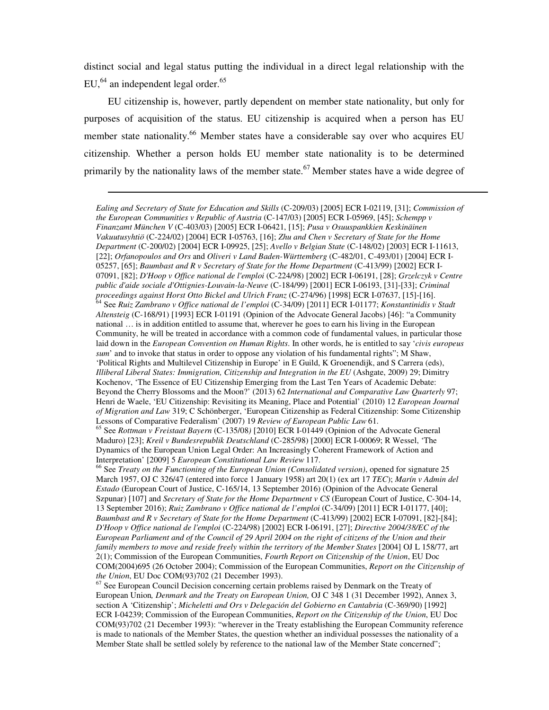distinct social and legal status putting the individual in a direct legal relationship with the  $EU<sup>64</sup>$  an independent legal order.<sup>65</sup>

EU citizenship is, however, partly dependent on member state nationality, but only for purposes of acquisition of the status. EU citizenship is acquired when a person has EU member state nationality.<sup>66</sup> Member states have a considerable say over who acquires EU citizenship. Whether a person holds EU member state nationality is to be determined primarily by the nationality laws of the member state.<sup>67</sup> Member states have a wide degree of

ı

 $67$  See European Council Decision concerning certain problems raised by Denmark on the Treaty of European Union*, Denmark and the Treaty on European Union,* OJ C 348 1 (31 December 1992), Annex 3, section A 'Citizenship'; *Micheletti and Ors v Delegación del Gobierno en Cantabria* (C-369/90) [1992] ECR I-04239; Commission of the European Communities, *Report on the Citizenship of the Union*, EU Doc COM(93)702 (21 December 1993): "wherever in the Treaty establishing the European Community reference is made to nationals of the Member States, the question whether an individual possesses the nationality of a Member State shall be settled solely by reference to the national law of the Member State concerned";

*Ealing and Secretary of State for Education and Skills* (C-209/03) [2005] ECR I-02119, [31]; *Commission of the European Communities v Republic of Austria* (C-147/03) [2005] ECR I-05969, [45]; *Schempp v Finanzamt München V* (C-403/03) [2005] ECR I-06421, [15]; *Pusa v Osuuspankkien Keskinäinen Vakuutusyhtiö* (C-224/02) [2004] ECR I-05763, [16]; *Zhu and Chen v Secretary of State for the Home Department* (C-200/02) [2004] ECR I-09925, [25]; *Avello v Belgian State* (C-148/02) [2003] ECR I-11613, [22]; *Orfanopoulos and Ors* and *Oliveri v Land Baden-Württemberg* (C-482/01, C-493/01) [2004] ECR I-05257, [65]; *Baumbast and R v Secretary of State for the Home Department* (C-413/99) [2002] ECR I-07091, [82]; *D'Hoop v Office national de l'emploi* (C-224/98) [2002] ECR I-06191, [28]; *Grzelczyk v Centre public d'aide sociale d'Ottignies-Louvain-la-Neuve* (C-184/99) [2001] ECR I-06193, [31]-[33]; *Criminal proceedings against Horst Otto Bickel and Ulrich Franz* (C-274/96) [1998] ECR I-07637, [15]-[16]. <sup>64</sup> See *Ruiz Zambrano v Office national de l'emploi* (C-34/09) [2011] ECR I-01177; *Konstantinidis v Stadt Altensteig* (C-168/91) [1993] ECR I-01191 (Opinion of the Advocate General Jacobs) [46]: "a Community national … is in addition entitled to assume that, wherever he goes to earn his living in the European Community, he will be treated in accordance with a common code of fundamental values, in particular those laid down in the *European Convention on Human Rights*. In other words, he is entitled to say '*civis europeus sum*' and to invoke that status in order to oppose any violation of his fundamental rights"; M Shaw, 'Political Rights and Multilevel Citizenship in Europe' in E Guild, K Groenendijk, and S Carrera (eds), *Illiberal Liberal States: Immigration, Citizenship and Integration in the EU* (Ashgate, 2009) 29; Dimitry Kochenov, 'The Essence of EU Citizenship Emerging from the Last Ten Years of Academic Debate: Beyond the Cherry Blossoms and the Moon?' (2013) 62 *International and Comparative Law Quarterly* 97; Henri de Waele, 'EU Citizenship: Revisiting its Meaning, Place and Potential' (2010) 12 *European Journal of Migration and Law* 319; C Schönberger, 'European Citizenship as Federal Citizenship: Some Citizenship Lessons of Comparative Federalism' (2007) 19 *Review of European Public Law* 61. <sup>65</sup> See *Rottman v Freistaat Bayern* (C-135/08*)* [2010] ECR I-01449 (Opinion of the Advocate General Maduro) [23]; *Kreil v Bundesrepublik Deutschland* (C-285/98) [2000] ECR I-00069; R Wessel, 'The Dynamics of the European Union Legal Order: An Increasingly Coherent Framework of Action and Interpretation' [2009] 5 *European Constitutional Law Review* 117.

<sup>66</sup> See *Treaty on the Functioning of the European Union (Consolidated version)*, opened for signature 25 March 1957, OJ C 326/47 (entered into force 1 January 1958) art 20(1) (ex art 17 *TEC*); *Marín v Admin del Estado* (European Court of Justice, C-165/14, 13 September 2016) (Opinion of the Advocate General Szpunar) [107] and *Secretary of State for the Home Department v CS* (European Court of Justice, C-304-14, 13 September 2016); *Ruiz Zambrano v Office national de l'emploi* (C-34/09) [2011] ECR I-01177, [40]; *Baumbast and R v Secretary of State for the Home Department* (C-413/99) [2002] ECR I-07091, [82]-[84]; *D'Hoop v Office national de l'emploi* (C-224/98) [2002] ECR I-06191, [27]; *Directive 2004/38/EC of the European Parliament and of the Council of 29 April 2004 on the right of citizens of the Union and their family members to move and reside freely within the territory of the Member States* [2004] OJ L 158/77, art 2(1); Commission of the European Communities, *Fourth Report on Citizenship of the Union*, EU Doc COM(2004)695 (26 October 2004); Commission of the European Communities, *Report on the Citizenship of the Union*, EU Doc COM(93)702 (21 December 1993).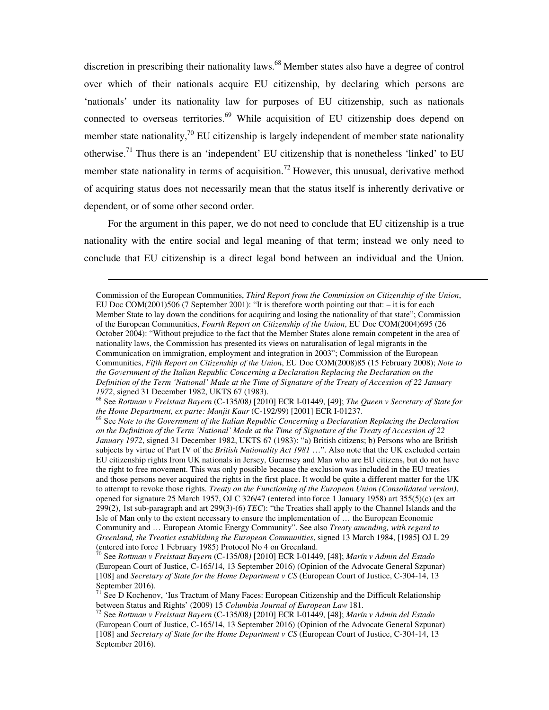discretion in prescribing their nationality laws.<sup>68</sup> Member states also have a degree of control over which of their nationals acquire EU citizenship, by declaring which persons are 'nationals' under its nationality law for purposes of EU citizenship, such as nationals connected to overseas territories.<sup>69</sup> While acquisition of EU citizenship does depend on member state nationality, ${}^{70}$  EU citizenship is largely independent of member state nationality otherwise.<sup>71</sup> Thus there is an 'independent' EU citizenship that is nonetheless 'linked' to EU member state nationality in terms of acquisition.<sup>72</sup> However, this unusual, derivative method of acquiring status does not necessarily mean that the status itself is inherently derivative or dependent, or of some other second order.

For the argument in this paper, we do not need to conclude that EU citizenship is a true nationality with the entire social and legal meaning of that term; instead we only need to conclude that EU citizenship is a direct legal bond between an individual and the Union.

Commission of the European Communities, *Third Report from the Commission on Citizenship of the Union*, EU Doc COM(2001)506 (7 September 2001): "It is therefore worth pointing out that: – it is for each Member State to lay down the conditions for acquiring and losing the nationality of that state"; Commission of the European Communities, *Fourth Report on Citizenship of the Union*, EU Doc COM(2004)695 (26 October 2004): "Without prejudice to the fact that the Member States alone remain competent in the area of nationality laws, the Commission has presented its views on naturalisation of legal migrants in the Communication on immigration, employment and integration in 2003"; Commission of the European Communities, *Fifth Report on Citizenship of the Union*, EU Doc COM(2008)85 (15 February 2008); *Note to the Government of the Italian Republic Concerning a Declaration Replacing the Declaration on the Definition of the Term 'National' Made at the Time of Signature of the Treaty of Accession of 22 January 1972*, signed 31 December 1982, UKTS 67 (1983).

<sup>68</sup> See *Rottman v Freistaat Bayern* (C-135/08*)* [2010] ECR I-01449, [49]; *The Queen v Secretary of State for the Home Department, ex parte: Manjit Kaur* (C-192/99) [2001] ECR I-01237.

<sup>69</sup> See *Note to the Government of the Italian Republic Concerning a Declaration Replacing the Declaration on the Definition of the Term 'National' Made at the Time of Signature of the Treaty of Accession of 22 January 1972*, signed 31 December 1982, UKTS 67 (1983): "a) British citizens; b) Persons who are British subjects by virtue of Part IV of the *British Nationality Act 1981* …". Also note that the UK excluded certain EU citizenship rights from UK nationals in Jersey, Guernsey and Man who are EU citizens, but do not have the right to free movement. This was only possible because the exclusion was included in the EU treaties and those persons never acquired the rights in the first place. It would be quite a different matter for the UK to attempt to revoke those rights. *Treaty on the Functioning of the European Union (Consolidated version)*, opened for signature 25 March 1957, OJ C 326/47 (entered into force 1 January 1958) art 355(5)(c) (ex art 299(2), 1st sub-paragraph and art 299(3)-(6) *TEC*): "the Treaties shall apply to the Channel Islands and the Isle of Man only to the extent necessary to ensure the implementation of … the European Economic Community and … European Atomic Energy Community". See also *Treaty amending, with regard to Greenland, the Treaties establishing the European Communities*, signed 13 March 1984, [1985] OJ L 29 (entered into force 1 February 1985) Protocol No 4 on Greenland.

<sup>70</sup> See *Rottman v Freistaat Bayern* (C-135/08*)* [2010] ECR I-01449, [48]; *Marín v Admin del Estado* (European Court of Justice, C-165/14, 13 September 2016) (Opinion of the Advocate General Szpunar) [108] and *Secretary of State for the Home Department v CS* (European Court of Justice, C-304-14, 13 September 2016).

 $71$  See D Kochenov, 'Ius Tractum of Many Faces: European Citizenship and the Difficult Relationship between Status and Rights' (2009) 15 *Columbia Journal of European Law* 181.

<sup>72</sup> See *Rottman v Freistaat Bayern* (C-135/08*)* [2010] ECR I-01449, [48]; *Marín v Admin del Estado* (European Court of Justice, C-165/14, 13 September 2016) (Opinion of the Advocate General Szpunar) [108] and *Secretary of State for the Home Department v CS* (European Court of Justice, C-304-14, 13 September 2016).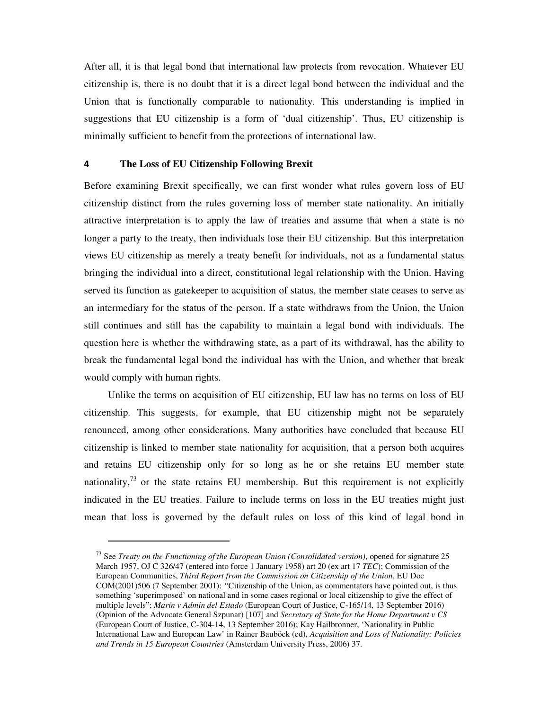After all, it is that legal bond that international law protects from revocation. Whatever EU citizenship is, there is no doubt that it is a direct legal bond between the individual and the Union that is functionally comparable to nationality. This understanding is implied in suggestions that EU citizenship is a form of 'dual citizenship'. Thus, EU citizenship is minimally sufficient to benefit from the protections of international law.

# **4 The Loss of EU Citizenship Following Brexit**

 $\overline{a}$ 

Before examining Brexit specifically, we can first wonder what rules govern loss of EU citizenship distinct from the rules governing loss of member state nationality. An initially attractive interpretation is to apply the law of treaties and assume that when a state is no longer a party to the treaty, then individuals lose their EU citizenship. But this interpretation views EU citizenship as merely a treaty benefit for individuals, not as a fundamental status bringing the individual into a direct, constitutional legal relationship with the Union. Having served its function as gatekeeper to acquisition of status, the member state ceases to serve as an intermediary for the status of the person. If a state withdraws from the Union, the Union still continues and still has the capability to maintain a legal bond with individuals. The question here is whether the withdrawing state, as a part of its withdrawal, has the ability to break the fundamental legal bond the individual has with the Union, and whether that break would comply with human rights.

Unlike the terms on acquisition of EU citizenship, EU law has no terms on loss of EU citizenship. This suggests, for example, that EU citizenship might not be separately renounced, among other considerations. Many authorities have concluded that because EU citizenship is linked to member state nationality for acquisition, that a person both acquires and retains EU citizenship only for so long as he or she retains EU member state nationality,  $^{73}$  or the state retains EU membership. But this requirement is not explicitly indicated in the EU treaties. Failure to include terms on loss in the EU treaties might just mean that loss is governed by the default rules on loss of this kind of legal bond in

<sup>73</sup> See *Treaty on the Functioning of the European Union (Consolidated version)*, opened for signature 25 March 1957, OJ C 326/47 (entered into force 1 January 1958) art 20 (ex art 17 *TEC*); Commission of the European Communities, *Third Report from the Commission on Citizenship of the Union*, EU Doc COM(2001)506 (7 September 2001): *"*Citizenship of the Union, as commentators have pointed out, is thus something 'superimposed' on national and in some cases regional or local citizenship to give the effect of multiple levels"; *Marín v Admin del Estado* (European Court of Justice, C-165/14, 13 September 2016) (Opinion of the Advocate General Szpunar) [107] and *Secretary of State for the Home Department v CS* (European Court of Justice, C-304-14, 13 September 2016); Kay Hailbronner, 'Nationality in Public International Law and European Law' in Rainer Bauböck (ed), *Acquisition and Loss of Nationality: Policies and Trends in 15 European Countries* (Amsterdam University Press, 2006) 37.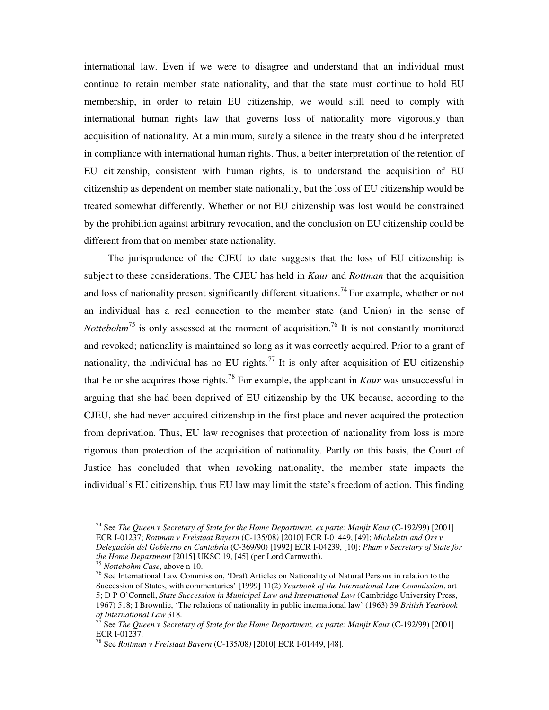international law. Even if we were to disagree and understand that an individual must continue to retain member state nationality, and that the state must continue to hold EU membership, in order to retain EU citizenship, we would still need to comply with international human rights law that governs loss of nationality more vigorously than acquisition of nationality. At a minimum, surely a silence in the treaty should be interpreted in compliance with international human rights. Thus, a better interpretation of the retention of EU citizenship, consistent with human rights, is to understand the acquisition of EU citizenship as dependent on member state nationality, but the loss of EU citizenship would be treated somewhat differently. Whether or not EU citizenship was lost would be constrained by the prohibition against arbitrary revocation, and the conclusion on EU citizenship could be different from that on member state nationality.

The jurisprudence of the CJEU to date suggests that the loss of EU citizenship is subject to these considerations. The CJEU has held in *Kaur* and *Rottman* that the acquisition and loss of nationality present significantly different situations.<sup>74</sup> For example, whether or not an individual has a real connection to the member state (and Union) in the sense of *Nottebohm*<sup>75</sup> is only assessed at the moment of acquisition.<sup>76</sup> It is not constantly monitored and revoked; nationality is maintained so long as it was correctly acquired. Prior to a grant of nationality, the individual has no EU rights.<sup>77</sup> It is only after acquisition of EU citizenship that he or she acquires those rights.<sup>78</sup> For example, the applicant in *Kaur* was unsuccessful in arguing that she had been deprived of EU citizenship by the UK because, according to the CJEU, she had never acquired citizenship in the first place and never acquired the protection from deprivation. Thus, EU law recognises that protection of nationality from loss is more rigorous than protection of the acquisition of nationality. Partly on this basis, the Court of Justice has concluded that when revoking nationality, the member state impacts the individual's EU citizenship, thus EU law may limit the state's freedom of action. This finding

<sup>74</sup> See *The Queen v Secretary of State for the Home Department, ex parte: Manjit Kaur* (C-192/99) [2001] ECR I-01237; *Rottman v Freistaat Bayern* (C-135/08*)* [2010] ECR I-01449, [49]; *Micheletti and Ors v Delegación del Gobierno en Cantabria* (C-369/90) [1992] ECR I-04239, [10]; *Pham v Secretary of State for the Home Department* [2015] UKSC 19, [45] (per Lord Carnwath).

<sup>75</sup> *Nottebohm Case*, above n 10.

<sup>76</sup> See International Law Commission, 'Draft Articles on Nationality of Natural Persons in relation to the Succession of States, with commentaries' [1999] 11(2) *Yearbook of the International Law Commission*, art 5; D P O'Connell, *State Succession in Municipal Law and International Law* (Cambridge University Press, 1967) 518; I Brownlie, 'The relations of nationality in public international law' (1963) 39 *British Yearbook of International Law* 318.

<sup>77</sup> See *The Queen v Secretary of State for the Home Department, ex parte: Manjit Kaur* (C-192/99) [2001] ECR I-01237.

<sup>78</sup> See *Rottman v Freistaat Bayern* (C-135/08*)* [2010] ECR I-01449, [48].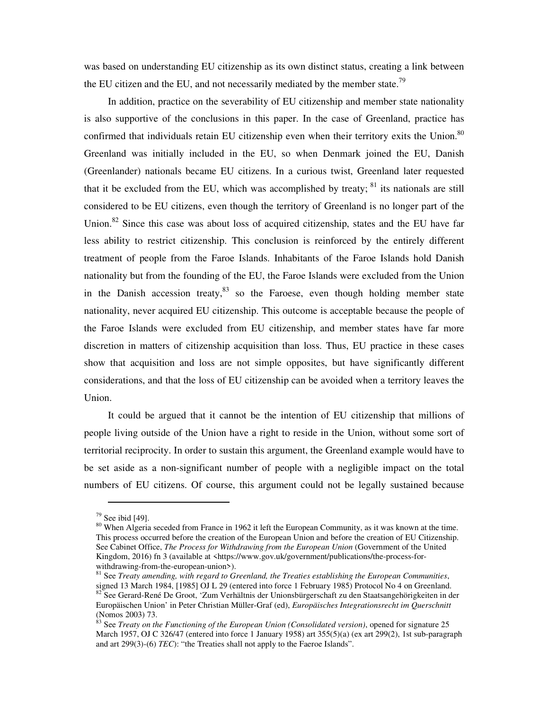was based on understanding EU citizenship as its own distinct status, creating a link between the EU citizen and the EU, and not necessarily mediated by the member state.<sup>79</sup>

In addition, practice on the severability of EU citizenship and member state nationality is also supportive of the conclusions in this paper. In the case of Greenland, practice has confirmed that individuals retain EU citizenship even when their territory exits the Union.<sup>80</sup> Greenland was initially included in the EU, so when Denmark joined the EU, Danish (Greenlander) nationals became EU citizens. In a curious twist, Greenland later requested that it be excluded from the EU, which was accomplished by treaty;  $81$  its nationals are still considered to be EU citizens, even though the territory of Greenland is no longer part of the Union.<sup>82</sup> Since this case was about loss of acquired citizenship, states and the EU have far less ability to restrict citizenship. This conclusion is reinforced by the entirely different treatment of people from the Faroe Islands. Inhabitants of the Faroe Islands hold Danish nationality but from the founding of the EU, the Faroe Islands were excluded from the Union in the Danish accession treaty,  $83$  so the Faroese, even though holding member state nationality, never acquired EU citizenship. This outcome is acceptable because the people of the Faroe Islands were excluded from EU citizenship, and member states have far more discretion in matters of citizenship acquisition than loss. Thus, EU practice in these cases show that acquisition and loss are not simple opposites, but have significantly different considerations, and that the loss of EU citizenship can be avoided when a territory leaves the Union.

It could be argued that it cannot be the intention of EU citizenship that millions of people living outside of the Union have a right to reside in the Union, without some sort of territorial reciprocity. In order to sustain this argument, the Greenland example would have to be set aside as a non-significant number of people with a negligible impact on the total numbers of EU citizens. Of course, this argument could not be legally sustained because

 $79$  See ibid [49].

<sup>&</sup>lt;sup>80</sup> When Algeria seceded from France in 1962 it left the European Community, as it was known at the time. This process occurred before the creation of the European Union and before the creation of EU Citizenship. See Cabinet Office, *The Process for Withdrawing from the European Union* (Government of the United Kingdom, 2016) fn 3 (available at <https://www.gov.uk/government/publications/the-process-forwithdrawing-from-the-european-union>).

<sup>81</sup> See *Treaty amending, with regard to Greenland, the Treaties establishing the European Communities*, signed 13 March 1984, [1985] OJ L 29 (entered into force 1 February 1985) Protocol No 4 on Greenland. <sup>82</sup> See Gerard-René De Groot, 'Zum Verhältnis der Unionsbürgerschaft zu den Staatsangehörigkeiten in der Europäischen Union' in Peter Christian Müller-Graf (ed), *Europäisches Integrationsrecht im Querschnitt*  (Nomos 2003) 73.

<sup>83</sup> See *Treaty on the Functioning of the European Union (Consolidated version)*, opened for signature 25 March 1957, OJ C 326/47 (entered into force 1 January 1958) art 355(5)(a) (ex art 299(2), 1st sub-paragraph and art 299(3)-(6) *TEC*): "the Treaties shall not apply to the Faeroe Islands".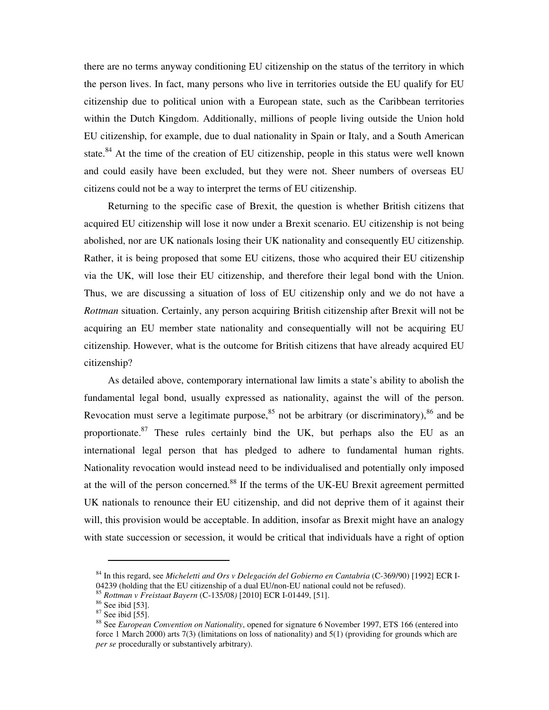there are no terms anyway conditioning EU citizenship on the status of the territory in which the person lives. In fact, many persons who live in territories outside the EU qualify for EU citizenship due to political union with a European state, such as the Caribbean territories within the Dutch Kingdom. Additionally, millions of people living outside the Union hold EU citizenship, for example, due to dual nationality in Spain or Italy, and a South American state.<sup>84</sup> At the time of the creation of EU citizenship, people in this status were well known and could easily have been excluded, but they were not. Sheer numbers of overseas EU citizens could not be a way to interpret the terms of EU citizenship.

Returning to the specific case of Brexit, the question is whether British citizens that acquired EU citizenship will lose it now under a Brexit scenario. EU citizenship is not being abolished, nor are UK nationals losing their UK nationality and consequently EU citizenship. Rather, it is being proposed that some EU citizens, those who acquired their EU citizenship via the UK, will lose their EU citizenship, and therefore their legal bond with the Union. Thus, we are discussing a situation of loss of EU citizenship only and we do not have a *Rottman* situation. Certainly, any person acquiring British citizenship after Brexit will not be acquiring an EU member state nationality and consequentially will not be acquiring EU citizenship. However, what is the outcome for British citizens that have already acquired EU citizenship?

As detailed above, contemporary international law limits a state's ability to abolish the fundamental legal bond, usually expressed as nationality, against the will of the person. Revocation must serve a legitimate purpose,  $85$  not be arbitrary (or discriminatory),  $86$  and be proportionate. $87$  These rules certainly bind the UK, but perhaps also the EU as an international legal person that has pledged to adhere to fundamental human rights. Nationality revocation would instead need to be individualised and potentially only imposed at the will of the person concerned.<sup>88</sup> If the terms of the UK-EU Brexit agreement permitted UK nationals to renounce their EU citizenship, and did not deprive them of it against their will, this provision would be acceptable. In addition, insofar as Brexit might have an analogy with state succession or secession, it would be critical that individuals have a right of option

l

<sup>84</sup> In this regard, see *Micheletti and Ors v Delegación del Gobierno en Cantabria* (C-369/90) [1992] ECR I-04239 (holding that the EU citizenship of a dual EU/non-EU national could not be refused).

<sup>85</sup> *Rottman v Freistaat Bayern* (C-135/08*)* [2010] ECR I-01449, [51].

<sup>86</sup> See ibid [53].

 $87$  See ibid [55].

<sup>88</sup> See *European Convention on Nationality*, opened for signature 6 November 1997, ETS 166 (entered into force 1 March 2000) arts 7(3) (limitations on loss of nationality) and 5(1) (providing for grounds which are *per se* procedurally or substantively arbitrary).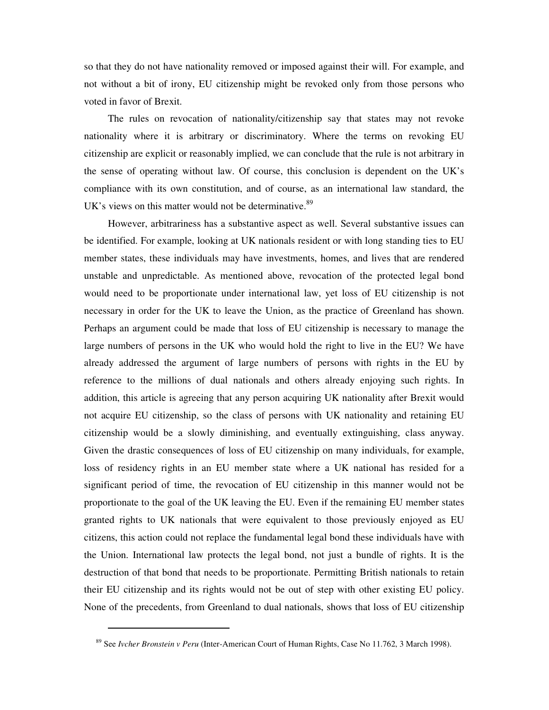so that they do not have nationality removed or imposed against their will. For example, and not without a bit of irony, EU citizenship might be revoked only from those persons who voted in favor of Brexit.

The rules on revocation of nationality/citizenship say that states may not revoke nationality where it is arbitrary or discriminatory. Where the terms on revoking EU citizenship are explicit or reasonably implied, we can conclude that the rule is not arbitrary in the sense of operating without law. Of course, this conclusion is dependent on the UK's compliance with its own constitution, and of course, as an international law standard, the UK's views on this matter would not be determinative. $89$ 

However, arbitrariness has a substantive aspect as well. Several substantive issues can be identified. For example, looking at UK nationals resident or with long standing ties to EU member states, these individuals may have investments, homes, and lives that are rendered unstable and unpredictable. As mentioned above, revocation of the protected legal bond would need to be proportionate under international law, yet loss of EU citizenship is not necessary in order for the UK to leave the Union, as the practice of Greenland has shown. Perhaps an argument could be made that loss of EU citizenship is necessary to manage the large numbers of persons in the UK who would hold the right to live in the EU? We have already addressed the argument of large numbers of persons with rights in the EU by reference to the millions of dual nationals and others already enjoying such rights. In addition, this article is agreeing that any person acquiring UK nationality after Brexit would not acquire EU citizenship, so the class of persons with UK nationality and retaining EU citizenship would be a slowly diminishing, and eventually extinguishing, class anyway. Given the drastic consequences of loss of EU citizenship on many individuals, for example, loss of residency rights in an EU member state where a UK national has resided for a significant period of time, the revocation of EU citizenship in this manner would not be proportionate to the goal of the UK leaving the EU. Even if the remaining EU member states granted rights to UK nationals that were equivalent to those previously enjoyed as EU citizens, this action could not replace the fundamental legal bond these individuals have with the Union. International law protects the legal bond, not just a bundle of rights. It is the destruction of that bond that needs to be proportionate. Permitting British nationals to retain their EU citizenship and its rights would not be out of step with other existing EU policy. None of the precedents, from Greenland to dual nationals, shows that loss of EU citizenship

<sup>89</sup> See *Ivcher Bronstein v Peru* (Inter-American Court of Human Rights, Case No 11.762, 3 March 1998).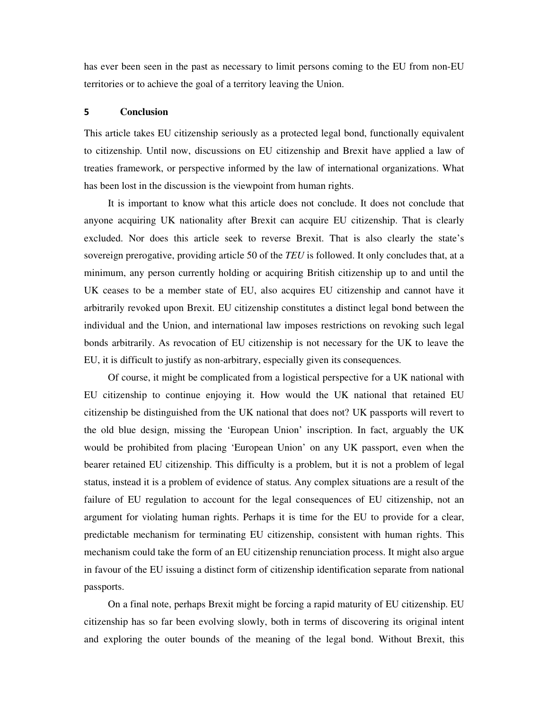has ever been seen in the past as necessary to limit persons coming to the EU from non-EU territories or to achieve the goal of a territory leaving the Union.

#### **5 Conclusion**

This article takes EU citizenship seriously as a protected legal bond, functionally equivalent to citizenship. Until now, discussions on EU citizenship and Brexit have applied a law of treaties framework, or perspective informed by the law of international organizations. What has been lost in the discussion is the viewpoint from human rights.

It is important to know what this article does not conclude. It does not conclude that anyone acquiring UK nationality after Brexit can acquire EU citizenship. That is clearly excluded. Nor does this article seek to reverse Brexit. That is also clearly the state's sovereign prerogative, providing article 50 of the *TEU* is followed. It only concludes that, at a minimum, any person currently holding or acquiring British citizenship up to and until the UK ceases to be a member state of EU, also acquires EU citizenship and cannot have it arbitrarily revoked upon Brexit. EU citizenship constitutes a distinct legal bond between the individual and the Union, and international law imposes restrictions on revoking such legal bonds arbitrarily. As revocation of EU citizenship is not necessary for the UK to leave the EU, it is difficult to justify as non-arbitrary, especially given its consequences.

Of course, it might be complicated from a logistical perspective for a UK national with EU citizenship to continue enjoying it. How would the UK national that retained EU citizenship be distinguished from the UK national that does not? UK passports will revert to the old blue design, missing the 'European Union' inscription. In fact, arguably the UK would be prohibited from placing 'European Union' on any UK passport, even when the bearer retained EU citizenship. This difficulty is a problem, but it is not a problem of legal status, instead it is a problem of evidence of status. Any complex situations are a result of the failure of EU regulation to account for the legal consequences of EU citizenship, not an argument for violating human rights. Perhaps it is time for the EU to provide for a clear, predictable mechanism for terminating EU citizenship, consistent with human rights. This mechanism could take the form of an EU citizenship renunciation process. It might also argue in favour of the EU issuing a distinct form of citizenship identification separate from national passports.

On a final note, perhaps Brexit might be forcing a rapid maturity of EU citizenship. EU citizenship has so far been evolving slowly, both in terms of discovering its original intent and exploring the outer bounds of the meaning of the legal bond. Without Brexit, this